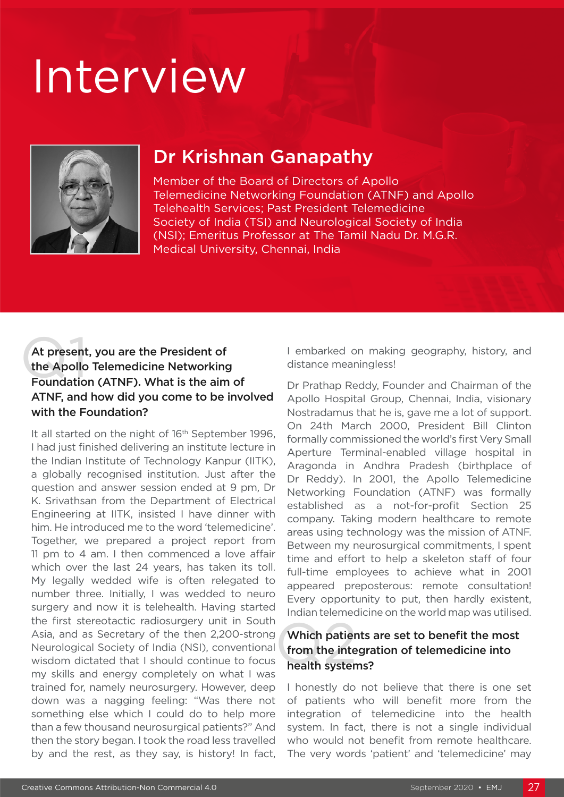# Interview



## Dr Krishnan Ganapathy

Member of the Board of Directors of Apollo Telemedicine Networking Foundation (ATNF) and Apollo Telehealth Services; Past President Telemedicine Society of India (TSI) and Neurological Society of India (NSI); Emeritus Professor at The Tamil Nadu Dr. M.G.R. Medical University, Chennai, India

### At present<br>the Apollo<br>Foundatio At present, you are the President of the Apollo Telemedicine Networking Foundation (ATNF). What is the aim of ATNF, and how did you come to be involved with the Foundation?

It all started on the night of 16<sup>th</sup> September 1996, I had just finished delivering an institute lecture in the Indian Institute of Technology Kanpur (IITK), a globally recognised institution. Just after the question and answer session ended at 9 pm, Dr K. Srivathsan from the Department of Electrical Engineering at IITK, insisted I have dinner with him. He introduced me to the word 'telemedicine'. Together, we prepared a project report from 11 pm to 4 am. I then commenced a love affair which over the last 24 years, has taken its toll. My legally wedded wife is often relegated to number three. Initially, I was wedded to neuro surgery and now it is telehealth. Having started the first stereotactic radiosurgery unit in South Asia, and as Secretary of the then 2,200-strong Neurological Society of India (NSI), conventional wisdom dictated that I should continue to focus my skills and energy completely on what I was trained for, namely neurosurgery. However, deep down was a nagging feeling: "Was there not something else which I could do to help more than a few thousand neurosurgical patients?" And then the story began. I took the road less travelled by and the rest, as they say, is history! In fact,

I embarked on making geography, history, and distance meaningless!

Dr Prathap Reddy, Founder and Chairman of the Apollo Hospital Group, Chennai, India, visionary Nostradamus that he is, gave me a lot of support. On 24th March 2000, President Bill Clinton formally commissioned the world's first Very Small Aperture Terminal-enabled village hospital in Aragonda in Andhra Pradesh (birthplace of Dr Reddy). In 2001, the Apollo Telemedicine Networking Foundation (ATNF) was formally established as a not-for-profit Section 25 company. Taking modern healthcare to remote areas using technology was the mission of ATNF. Between my neurosurgical commitments, I spent time and effort to help a skeleton staff of four full-time employees to achieve what in 2001 appeared preposterous: remote consultation! Every opportunity to put, then hardly existent, Indian telemedicine on the world map was utilised.

### Which patier<br>from the inte<br>health syster Which patients are set to benefit the most from the integration of telemedicine into health systems?

I honestly do not believe that there is one set of patients who will benefit more from the integration of telemedicine into the health system. In fact, there is not a single individual who would not benefit from remote healthcare. The very words 'patient' and 'telemedicine' may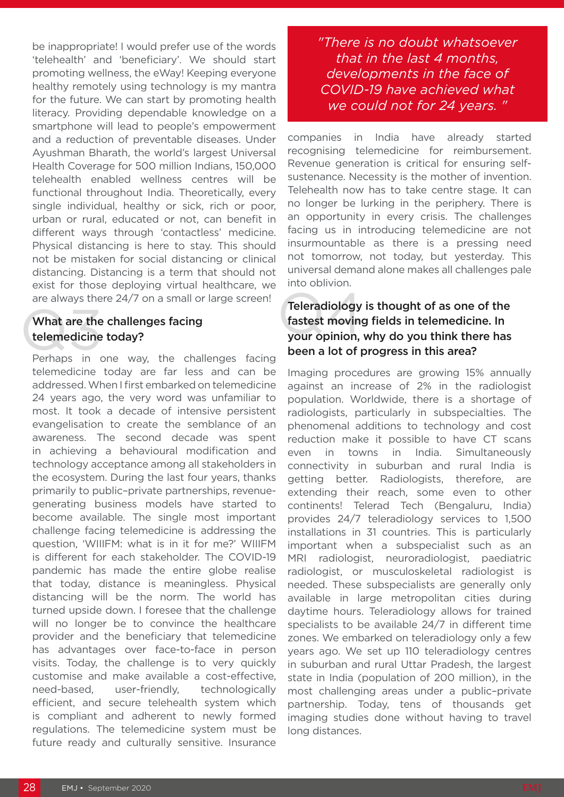be inappropriate! I would prefer use of the words 'telehealth' and 'beneficiary'. We should start promoting wellness, the eWay! Keeping everyone healthy remotely using technology is my mantra for the future. We can start by promoting health literacy. Providing dependable knowledge on a smartphone will lead to people's empowerment and a reduction of preventable diseases. Under Ayushman Bharath, the world's largest Universal Health Coverage for 500 million Indians, 150,000 telehealth enabled wellness centres will be functional throughout India. Theoretically, every single individual, healthy or sick, rich or poor, urban or rural, educated or not, can benefit in different ways through 'contactless' medicine. Physical distancing is here to stay. This should not be mistaken for social distancing or clinical distancing. Distancing is a term that should not exist for those deploying virtual healthcare, we

# are always there 24/7 on a small or large screen!<br> **Teleradiology**<br> **Castest moving<br>
telemedicine today?**<br>
Perhaps in one way the challenges facing<br> **Deen a lot of property** What are the challenges facing telemedicine today?

Perhaps in one way, the challenges facing telemedicine today are far less and can be addressed. When I first embarked on telemedicine 24 years ago, the very word was unfamiliar to most. It took a decade of intensive persistent evangelisation to create the semblance of an awareness. The second decade was spent in achieving a behavioural modification and technology acceptance among all stakeholders in the ecosystem. During the last four years, thanks primarily to public–private partnerships, revenuegenerating business models have started to become available. The single most important challenge facing telemedicine is addressing the question, 'WIIIFM: what is in it for me?' WIIIFM is different for each stakeholder. The COVID-19 pandemic has made the entire globe realise that today, distance is meaningless. Physical distancing will be the norm. The world has turned upside down. I foresee that the challenge will no longer be to convince the healthcare provider and the beneficiary that telemedicine has advantages over face-to-face in person visits. Today, the challenge is to very quickly customise and make available a cost-effective, need-based, user-friendly, technologically efficient, and secure telehealth system which is compliant and adherent to newly formed regulations. The telemedicine system must be future ready and culturally sensitive. Insurance

*"There is no doubt whatsoever that in the last 4 months, developments in the face of COVID-19 have achieved what we could not for 24 years. "*

companies in India have already started recognising telemedicine for reimbursement. Revenue generation is critical for ensuring selfsustenance. Necessity is the mother of invention. Telehealth now has to take centre stage. It can no longer be lurking in the periphery. There is an opportunity in every crisis. The challenges facing us in introducing telemedicine are not insurmountable as there is a pressing need not tomorrow, not today, but yesterday. This universal demand alone makes all challenges pale into oblivion.

### Teleradiology is thought of as one of the fastest moving fields in telemedicine. In your opinion, why do you think there has been a lot of progress in this area?

Imaging procedures are growing 15% annually against an increase of 2% in the radiologist population. Worldwide, there is a shortage of radiologists, particularly in subspecialties. The phenomenal additions to technology and cost reduction make it possible to have CT scans even in towns in India. Simultaneously connectivity in suburban and rural India is getting better. Radiologists, therefore, are extending their reach, some even to other continents! Telerad Tech (Bengaluru, India) provides 24/7 teleradiology services to 1,500 installations in 31 countries. This is particularly important when a subspecialist such as an MRI radiologist, neuroradiologist, paediatric radiologist, or musculoskeletal radiologist is needed. These subspecialists are generally only available in large metropolitan cities during daytime hours. Teleradiology allows for trained specialists to be available 24/7 in different time zones. We embarked on teleradiology only a few years ago. We set up 110 teleradiology centres in suburban and rural Uttar Pradesh, the largest state in India (population of 200 million), in the most challenging areas under a public–private partnership. Today, tens of thousands get imaging studies done without having to travel long distances.